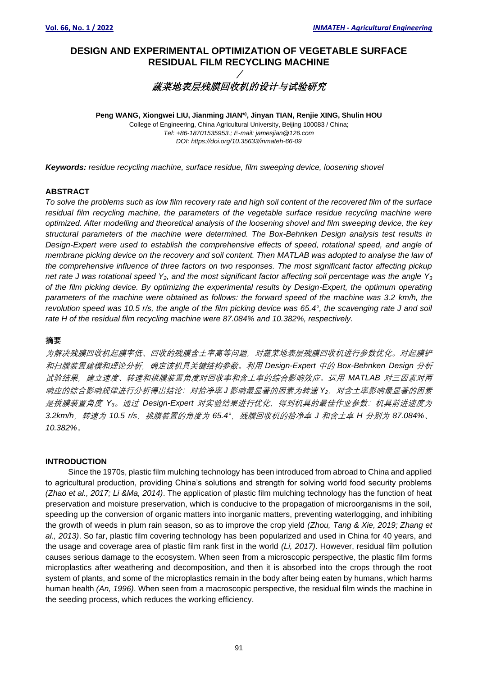# **DESIGN AND EXPERIMENTAL OPTIMIZATION OF VEGETABLE SURFACE RESIDUAL FILM RECYCLING MACHINE**  /

# 蔬菜地表层残膜回收机的设计与试验研究

**Peng WANG, Xiongwei LIU, Jianming JIAN\*) , Jinyan TIAN, Renjie XING, Shulin HOU** College of Engineering, China Agricultural University, Beijing 100083 / China; *Tel: +86-18701535953.; E-mail: jamesjian@126.com DOI: https://doi.org/10.35633/inmateh-66-09*

*Keywords: residue recycling machine, surface residue, film sweeping device, loosening shovel* 

# **ABSTRACT**

*To solve the problems such as low film recovery rate and high soil content of the recovered film of the surface residual film recycling machine, the parameters of the vegetable surface residue recycling machine were optimized. After modelling and theoretical analysis of the loosening shovel and film sweeping device, the key structural parameters of the machine were determined. The Box-Behnken Design analysis test results in Design-Expert were used to establish the comprehensive effects of speed, rotational speed, and angle of membrane picking device on the recovery and soil content. Then MATLAB was adopted to analyse the law of the comprehensive influence of three factors on two responses. The most significant factor affecting pickup net rate J was rotational speed Y2, and the most significant factor affecting soil percentage was the angle Y<sup>3</sup> of the film picking device. By optimizing the experimental results by Design-Expert, the optimum operating parameters of the machine were obtained as follows: the forward speed of the machine was 3.2 km/h, the revolution speed was 10.5 r/s, the angle of the film picking device was 65.4°, the scavenging rate J and soil rate H of the residual film recycling machine were 87.084% and 10.382%, respectively.*

### **摘要**

为解决残膜回收机起膜率低、回收的残膜含土率高等问题,对蔬菜地表层残膜回收机进行参数优化。对起膜铲 和扫膜装置建模和理论分析,确定该机具关键结构参数。利用 *Design-Expert* 中的 *Box-Behnken Design* 分析 试验结果,建立速度、转速和挑膜装置角度对回收率和含土率的综合影响效应。运用 *MATLAB* 对三因素对两 响应的综合影响规律进行分析得出结论: 对拾净率 **J** 影响最显著的因素为转速 Y<sub>2</sub>, 对含土率影响最显著的因素 是挑膜装置角度 *Y3*。通过 *Design-Expert* 对实验结果进行优化,得到机具的最佳作业参数:机具前进速度为 *3.2km/h*,转速为 *10.5 r/s*,挑膜装置的角度为 *65.4°*,残膜回收机的拾净率 *J* 和含土率 *H* 分别为 *87.084%*、 *10.382%*。

# **INTRODUCTION**

Since the 1970s, plastic film mulching technology has been introduced from abroad to China and applied to agricultural production, providing China's solutions and strength for solving world food security problems *(Zhao et al., 2017; Li &Ma, 2014)*. The application of plastic film mulching technology has the function of heat preservation and moisture preservation, which is conducive to the propagation of microorganisms in the soil, speeding up the conversion of organic matters into inorganic matters, preventing waterlogging, and inhibiting the growth of weeds in plum rain season, so as to improve the crop yield *(Zhou, Tang & Xie, 2019; Zhang et al., 2013)*. So far, plastic film covering technology has been popularized and used in China for 40 years, and the usage and coverage area of plastic film rank first in the world *(Li, 2017)*. However, residual film pollution causes serious damage to the ecosystem. When seen from a microscopic perspective, the plastic film forms microplastics after weathering and decomposition, and then it is absorbed into the crops through the root system of plants, and some of the microplastics remain in the body after being eaten by humans, which harms human health *(An, 1996)*. When seen from a macroscopic perspective, the residual film winds the machine in the seeding process, which reduces the working efficiency.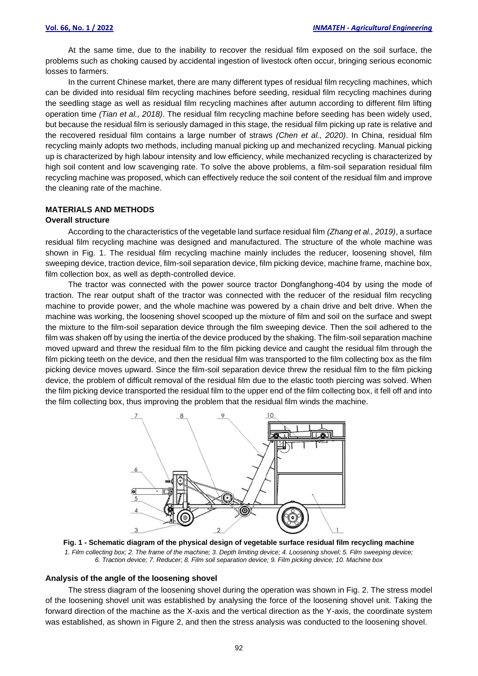At the same time, due to the inability to recover the residual film exposed on the soil surface, the problems such as choking caused by accidental ingestion of livestock often occur, bringing serious economic losses to farmers.

In the current Chinese market, there are many different types of residual film recycling machines, which can be divided into residual film recycling machines before seeding, residual film recycling machines during the seedling stage as well as residual film recycling machines after autumn according to different film lifting operation time *(Tian et al., 2018)*. The residual film recycling machine before seeding has been widely used, but because the residual film is seriously damaged in this stage, the residual film picking up rate is relative and the recovered residual film contains a large number of straws *(Chen et al., 2020)*. In China, residual film recycling mainly adopts two methods, including manual picking up and mechanized recycling. Manual picking up is characterized by high labour intensity and low efficiency, while mechanized recycling is characterized by high soil content and low scavenging rate. To solve the above problems, a film-soil separation residual film recycling machine was proposed, which can effectively reduce the soil content of the residual film and improve the cleaning rate of the machine.

# **MATERIALS AND METHODS**

# **Overall structure**

According to the characteristics of the vegetable land surface residual film *(Zhang et al., 2019)*, a surface residual film recycling machine was designed and manufactured. The structure of the whole machine was shown in Fig. 1. The residual film recycling machine mainly includes the reducer, loosening shovel, film sweeping device, traction device, film-soil separation device, film picking device, machine frame, machine box, film collection box, as well as depth-controlled device.

The tractor was connected with the power source tractor Dongfanghong-404 by using the mode of traction. The rear output shaft of the tractor was connected with the reducer of the residual film recycling machine to provide power, and the whole machine was powered by a chain drive and belt drive. When the machine was working, the loosening shovel scooped up the mixture of film and soil on the surface and swept the mixture to the film-soil separation device through the film sweeping device. Then the soil adhered to the film was shaken off by using the inertia of the device produced by the shaking. The film-soil separation machine moved upward and threw the residual film to the film picking device and caught the residual film through the film picking teeth on the device, and then the residual film was transported to the film collecting box as the film picking device moves upward. Since the film-soil separation device threw the residual film to the film picking device, the problem of difficult removal of the residual film due to the elastic tooth piercing was solved. When the film picking device transported the residual film to the upper end of the film collecting box, it fell off and into the film collecting box, thus improving the problem that the residual film winds the machine.



**Fig. 1 - Schematic diagram of the physical design of vegetable surface residual film recycling machine** *1. Film collecting box; 2. The frame of the machine; 3. Depth limiting device; 4. Loosening shovel; 5. Film sweeping device; 6. Traction device; 7. Reducer; 8. Film soil separation device; 9. Film picking device; 10. Machine box*

#### **Analysis of the angle of the loosening shovel**

The stress diagram of the loosening shovel during the operation was shown in Fig. 2. The stress model of the loosening shovel unit was established by analysing the force of the loosening shovel unit. Taking the forward direction of the machine as the X-axis and the vertical direction as the Y-axis, the coordinate system was established, as shown in Figure 2, and then the stress analysis was conducted to the loosening shovel.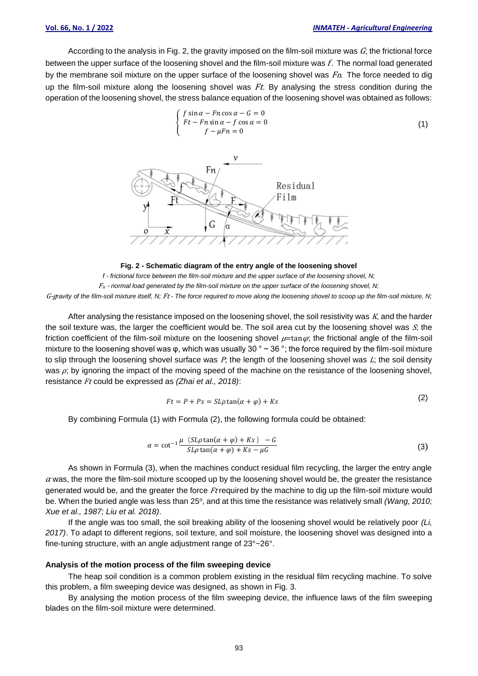According to the analysis in Fig. 2, the gravity imposed on the film-soil mixture was  $G<sub>i</sub>$ ; the frictional force between the upper surface of the loosening shovel and the film-soil mixture was f. The normal load generated by the membrane soil mixture on the upper surface of the loosening shovel was  $Fn$ . The force needed to dig up the film-soil mixture along the loosening shovel was  $Ft$ . By analysing the stress condition during the operation of the loosening shovel, the stress balance equation of the loosening shovel was obtained as follows:



**Fig. 2 - Schematic diagram of the entry angle of the loosening shovel** *f - frictional force between the film-soil mixture and the upper surface of the loosening shovel, N;*  F<sup>n</sup> - *normal load generated by the film-soil mixture on the upper surface of the loosening shovel, N;*  G-g*ravity of the film-soil mixture itself, N;* Ft *- The force required to move along the loosening shovel to scoop up the film-soil mixture, N;*

After analysing the resistance imposed on the loosening shovel, the soil resistivity was  $K$ , and the harder the soil texture was, the larger the coefficient would be. The soil area cut by the loosening shovel was  $S<sub>i</sub>$ , the friction coefficient of the film-soil mixture on the loosening shovel  $\mu$ =tan $\varphi$ ; the frictional angle of the film-soil mixture to the loosening shovel was  $\varphi$ , which was usually 30 ° ~ 36 °; the force required by the film-soil mixture to slip through the loosening shovel surface was  $P$ ; the length of the loosening shovel was  $L$ ; the soil density was  $\rho$ ; by ignoring the impact of the moving speed of the machine on the resistance of the loosening shovel, resistance Ft could be expressed as *(Zhai et al., 2018)*:

$$
Ft = P + Ps = SL\rho \tan(\alpha + \varphi) + Ks
$$
 (2)

By combining Formula (1) with Formula (2), the following formula could be obtained:

$$
\alpha = \cot^{-1} \frac{\mu (SL\rho \tan(\alpha + \varphi) + Ks) - G}{SL\rho \tan(\alpha + \varphi) + Ks - \mu G}
$$
 (3)

As shown in Formula (3), when the machines conduct residual film recycling, the larger the entry angle  $\alpha$  was, the more the film-soil mixture scooped up by the loosening shovel would be, the greater the resistance generated would be, and the greater the force Ft required by the machine to dig up the film-soil mixture would be. When the buried angle was less than 25°, and at this time the resistance was relatively small *(Wang, 2010; Xue et al., 1987; Liu et al. 2018)*.

If the angle was too small, the soil breaking ability of the loosening shovel would be relatively poor *(Li, 2017)*. To adapt to different regions, soil texture, and soil moisture, the loosening shovel was designed into a fine-tuning structure, with an angle adjustment range of 23°~26°.

#### **Analysis of the motion process of the film sweeping device**

The heap soil condition is a common problem existing in the residual film recycling machine. To solve this problem, a film sweeping device was designed, as shown in Fig. 3.

By analysing the motion process of the film sweeping device, the influence laws of the film sweeping blades on the film-soil mixture were determined.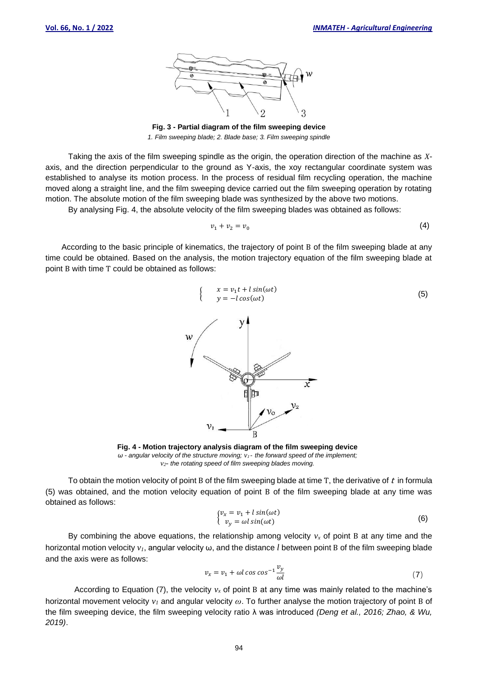(5)



**Fig. 3 - Partial diagram of the film sweeping device** *1. Film sweeping blade; 2. Blade base; 3. Film sweeping spindle*

Taking the axis of the film sweeping spindle as the origin, the operation direction of the machine as *X*axis, and the direction perpendicular to the ground as Y-axis, the xoy rectangular coordinate system was established to analyse its motion process. In the process of residual film recycling operation, the machine moved along a straight line, and the film sweeping device carried out the film sweeping operation by rotating motion. The absolute motion of the film sweeping blade was synthesized by the above two motions.

By analysing Fig. 4, the absolute velocity of the film sweeping blades was obtained as follows:

$$
v_1 + v_2 = v_0 \tag{4}
$$

According to the basic principle of kinematics, the trajectory of point B of the film sweeping blade at any time could be obtained. Based on the analysis, the motion trajectory equation of the film sweeping blade at point B with time T could be obtained as follows:





To obtain the motion velocity of point B of the film sweeping blade at time T, the derivative of  $t$  in formula (5) was obtained, and the motion velocity equation of point B of the film sweeping blade at any time was obtained as follows:

$$
\begin{cases} v_x = v_1 + l \sin(\omega t) \\ v_y = \omega l \sin(\omega t) \end{cases} \tag{6}
$$

By combining the above equations, the relationship among velocity  $v_x$  of point B at any time and the horizontal motion velocity *v1*, angular velocity ω, and the distance *l* between point B of the film sweeping blade and the axis were as follows:

$$
v_x = v_1 + \omega l \cos \cos^{-1} \frac{v_y}{\omega l} \tag{7}
$$

According to Equation (7), the velocity  $v_x$  of point B at any time was mainly related to the machine's horizontal movement velocity *v<sup>1</sup>* and angular velocity *ω*. To further analyse the motion trajectory of point B of the film sweeping device, the film sweeping velocity ratio λ was introduced *(Deng et al., 2016; Zhao, & Wu, 2019)*.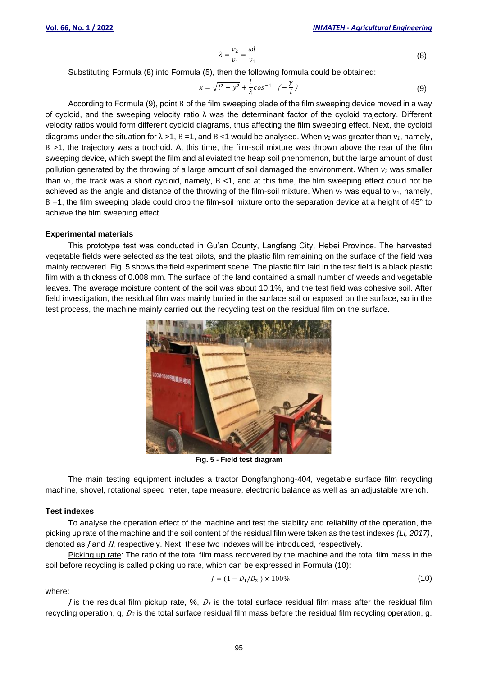$$
\lambda = \frac{v_2}{v_1} = \frac{\omega l}{v_1} \tag{8}
$$

Substituting Formula (8) into Formula (5), then the following formula could be obtained:

$$
x = \sqrt{l^2 - y^2} + \frac{l}{\lambda} \cos^{-1} \left( -\frac{y}{l} \right)
$$
 (9)

According to Formula (9), point B of the film sweeping blade of the film sweeping device moved in a way of cycloid, and the sweeping velocity ratio λ was the determinant factor of the cycloid trajectory. Different velocity ratios would form different cycloid diagrams, thus affecting the film sweeping effect. Next, the cycloid diagrams under the situation for  $\lambda > 1$ , B = 1, and B < 1 would be analysed. When  $v_2$  was greater than  $v_1$ , namely, B >1, the trajectory was a trochoid. At this time, the film-soil mixture was thrown above the rear of the film sweeping device, which swept the film and alleviated the heap soil phenomenon, but the large amount of dust pollution generated by the throwing of a large amount of soil damaged the environment. When *v<sup>2</sup>* was smaller than  $v_1$ , the track was a short cycloid, namely,  $B \lt 1$ , and at this time, the film sweeping effect could not be achieved as the angle and distance of the throwing of the film-soil mixture. When  $v_2$  was equal to  $v_1$ , namely, B =1, the film sweeping blade could drop the film-soil mixture onto the separation device at a height of 45° to achieve the film sweeping effect.

#### **Experimental materials**

This prototype test was conducted in Gu'an County, Langfang City, Hebei Province. The harvested vegetable fields were selected as the test pilots, and the plastic film remaining on the surface of the field was mainly recovered. Fig. 5 shows the field experiment scene. The plastic film laid in the test field is a black plastic film with a thickness of 0.008 mm. The surface of the land contained a small number of weeds and vegetable leaves. The average moisture content of the soil was about 10.1%, and the test field was cohesive soil. After field investigation, the residual film was mainly buried in the surface soil or exposed on the surface, so in the test process, the machine mainly carried out the recycling test on the residual film on the surface.



**Fig. 5 - Field test diagram**

The main testing equipment includes a tractor Dongfanghong-404, vegetable surface film recycling machine, shovel, rotational speed meter, tape measure, electronic balance as well as an adjustable wrench.

#### **Test indexes**

To analyse the operation effect of the machine and test the stability and reliability of the operation, the picking up rate of the machine and the soil content of the residual film were taken as the test indexes *(Li, 2017)*, denoted as *J* and *H*, respectively. Next, these two indexes will be introduced, respectively.

Picking up rate: The ratio of the total film mass recovered by the machine and the total film mass in the soil before recycling is called picking up rate, which can be expressed in Formula (10):

$$
J = (1 - D_1/D_2) \times 100\%
$$
 (10)

where:

*J* is the residual film pickup rate,  $\%$ ,  $D_1$  is the total surface residual film mass after the residual film recycling operation, g,  $D_2$  is the total surface residual film mass before the residual film recycling operation, g.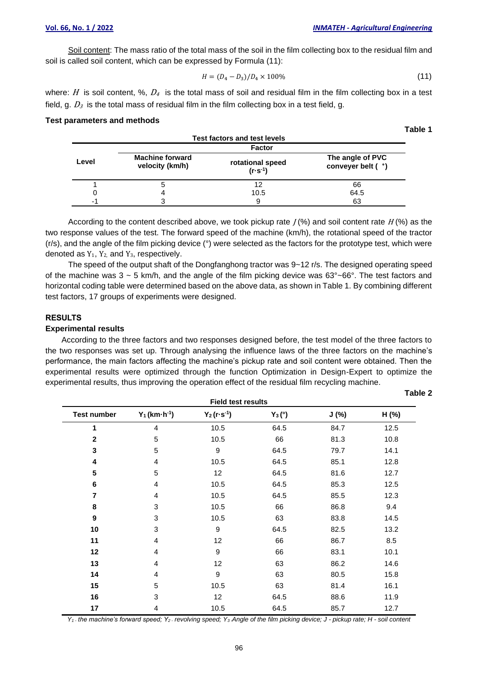**Table 1**

**Table 2**

Soil content: The mass ratio of the total mass of the soil in the film collecting box to the residual film and soil is called soil content, which can be expressed by Formula (11):

$$
H = (D_4 - D_3)/D_4 \times 100\%
$$
\n(11)

where: H is soil content, %,  $D_4$  is the total mass of soil and residual film in the film collecting box in a test field, g.  $D_3$  is the total mass of residual film in the film collecting box in a test field, g.

#### **Test parameters and methods**

|       |                                           | .                                                   |                                        |  |
|-------|-------------------------------------------|-----------------------------------------------------|----------------------------------------|--|
| Level | <b>Machine forward</b><br>velocity (km/h) | <b>Factor</b><br>rotational speed<br>$(r - s^{-1})$ | The angle of PVC<br>conveyer belt ( °) |  |
|       |                                           | 12                                                  | 66                                     |  |
|       |                                           | 10.5                                                | 64.5                                   |  |
|       |                                           | 9                                                   | 63                                     |  |

According to the content described above, we took pickup rate  $J$  (%) and soil content rate  $H$  (%) as the two response values of the test. The forward speed of the machine (km/h), the rotational speed of the tractor (r/s), and the angle of the film picking device (°) were selected as the factors for the prototype test, which were denoted as  $Y_1$ ,  $Y_2$  and  $Y_3$ , respectively.

The speed of the output shaft of the Dongfanghong tractor was 9~12 r/s. The designed operating speed of the machine was  $3 \sim 5$  km/h, and the angle of the film picking device was  $63^{\circ}$ ~ $66^{\circ}$ . The test factors and horizontal coding table were determined based on the above data, as shown in Table 1. By combining different test factors, 17 groups of experiments were designed.

## **RESULTS**

# **Experimental results**

According to the three factors and two responses designed before, the test model of the three factors to the two responses was set up. Through analysing the influence laws of the three factors on the machine's performance, the main factors affecting the machine's pickup rate and soil content were obtained. Then the experimental results were optimized through the function Optimization in Design-Expert to optimize the experimental results, thus improving the operation effect of the residual film recycling machine.

|                    | <b>Field test results</b>     |                       |           |       |       |  |  |
|--------------------|-------------------------------|-----------------------|-----------|-------|-------|--|--|
| <b>Test number</b> | $Y_1$ (km $\cdot$ h $^{-1}$ ) | $Y_2(r \cdot s^{-1})$ | $Y_3 (°)$ | J (%) | H (%) |  |  |
| 1                  | $\overline{4}$                | 10.5                  | 64.5      | 84.7  | 12.5  |  |  |
| $\mathbf 2$        | 5                             | 10.5                  | 66        | 81.3  | 10.8  |  |  |
| 3                  | 5                             | $\boldsymbol{9}$      | 64.5      | 79.7  | 14.1  |  |  |
| 4                  | 4                             | 10.5                  | 64.5      | 85.1  | 12.8  |  |  |
| 5                  | 5                             | 12                    | 64.5      | 81.6  | 12.7  |  |  |
| 6                  | 4                             | 10.5                  | 64.5      | 85.3  | 12.5  |  |  |
| 7                  | 4                             | 10.5                  | 64.5      | 85.5  | 12.3  |  |  |
| 8                  | 3                             | 10.5                  | 66        | 86.8  | 9.4   |  |  |
| 9                  | 3                             | 10.5                  | 63        | 83.8  | 14.5  |  |  |
| 10                 | 3                             | $\boldsymbol{9}$      | 64.5      | 82.5  | 13.2  |  |  |
| 11                 | 4                             | 12                    | 66        | 86.7  | 8.5   |  |  |
| 12                 | 4                             | $\boldsymbol{9}$      | 66        | 83.1  | 10.1  |  |  |
| 13                 | 4                             | 12                    | 63        | 86.2  | 14.6  |  |  |
| 14                 | 4                             | $\boldsymbol{9}$      | 63        | 80.5  | 15.8  |  |  |
| 15                 | 5                             | 10.5                  | 63        | 81.4  | 16.1  |  |  |
| 16                 | 3                             | 12                    | 64.5      | 88.6  | 11.9  |  |  |
| 17                 | 4                             | 10.5                  | 64.5      | 85.7  | 12.7  |  |  |
|                    |                               |                       |           |       |       |  |  |

 $Y_1$ . the machine's forward speed;  $Y_2$ . revolving speed;  $Y_3$ . Angle of the film picking device; J - pickup rate; H - soil content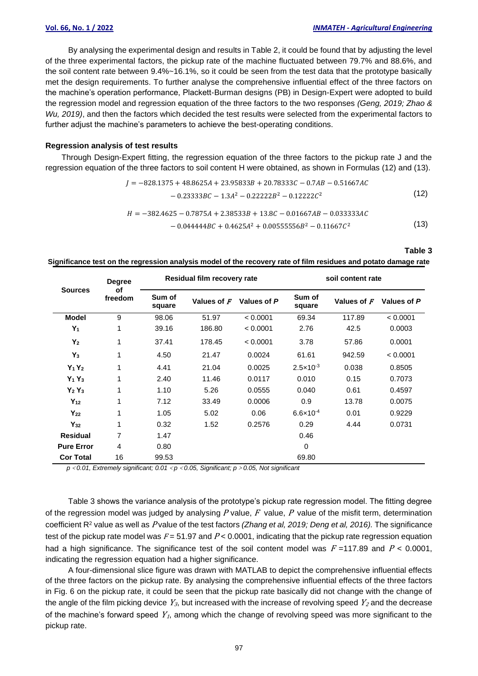By analysing the experimental design and results in Table 2, it could be found that by adjusting the level of the three experimental factors, the pickup rate of the machine fluctuated between 79.7% and 88.6%, and the soil content rate between 9.4%~16.1%, so it could be seen from the test data that the prototype basically met the design requirements. To further analyse the comprehensive influential effect of the three factors on the machine's operation performance, Plackett-Burman designs (PB) in Design-Expert were adopted to build the regression model and regression equation of the three factors to the two responses *(Geng, 2019; Zhao & Wu, 2019)*, and then the factors which decided the test results were selected from the experimental factors to further adjust the machine's parameters to achieve the best-operating conditions.

#### **Regression analysis of test results**

Through Design-Expert fitting, the regression equation of the three factors to the pickup rate J and the regression equation of the three factors to soil content H were obtained, as shown in Formulas (12) and (13).

$$
J = -828.1375 + 48.8625A + 23.95833B + 20.78333C - 0.7AB - 0.51667AC
$$
  
\n
$$
- 0.23333BC - 1.3A^2 - 0.22222B^2 - 0.12222C^2
$$
\n(12)  
\n
$$
H = -382.4625 - 0.7875A + 2.38533B + 13.8C - 0.01667AB - 0.033333AC
$$
  
\n
$$
- 0.044444BC + 0.4625A^2 + 0.00555556B^2 - 0.11667C^2
$$
\n(13)

**Table 3**

**Significance test on the regression analysis model of the recovery rate of film residues and potato damage rate**

| <b>Sources</b>    | <b>Degree</b><br>οf<br>freedom | Residual film recovery rate |             |             | soil content rate    |             |             |
|-------------------|--------------------------------|-----------------------------|-------------|-------------|----------------------|-------------|-------------|
|                   |                                | Sum of<br>square            | Values of F | Values of P | Sum of<br>square     | Values of F | Values of P |
| <b>Model</b>      | 9                              | 98.06                       | 51.97       | < 0.0001    | 69.34                | 117.89      | < 0.0001    |
| $Y_1$             | 1                              | 39.16                       | 186.80      | < 0.0001    | 2.76                 | 42.5        | 0.0003      |
| $Y_2$             | 1                              | 37.41                       | 178.45      | < 0.0001    | 3.78                 | 57.86       | 0.0001      |
| $Y_3$             | 1                              | 4.50                        | 21.47       | 0.0024      | 61.61                | 942.59      | < 0.0001    |
| $Y_1Y_2$          | 1                              | 4.41                        | 21.04       | 0.0025      | $2.5 \times 10^{-3}$ | 0.038       | 0.8505      |
| $Y_1Y_3$          | 1                              | 2.40                        | 11.46       | 0.0117      | 0.010                | 0.15        | 0.7073      |
| $Y_2Y_3$          | 1                              | 1.10                        | 5.26        | 0.0555      | 0.040                | 0.61        | 0.4597      |
| $Y_{12}$          | 1                              | 7.12                        | 33.49       | 0.0006      | 0.9                  | 13.78       | 0.0075      |
| $Y_{22}$          | 1                              | 1.05                        | 5.02        | 0.06        | $6.6 \times 10^{-4}$ | 0.01        | 0.9229      |
| $Y_{32}$          | 1                              | 0.32                        | 1.52        | 0.2576      | 0.29                 | 4.44        | 0.0731      |
| <b>Residual</b>   | 7                              | 1.47                        |             |             | 0.46                 |             |             |
| <b>Pure Error</b> | $\overline{4}$                 | 0.80                        |             |             | 0                    |             |             |
| <b>Cor Total</b>  | 16                             | 99.53                       |             |             | 69.80                |             |             |

*p*<*0.01, Extremely significant; 0.01*<*p*<*0.05, Significant; p*>*0.05, Not significant*

Table 3 shows the variance analysis of the prototype's pickup rate regression model. The fitting degree of the regression model was judged by analysing  $P$  value,  $F$  value,  $P$  value of the misfit term, determination coefficient R<sup>2</sup> value as well as P value of the test factors *(Zhang et al, 2019; Deng et al, 2016).* The significance test of the pickup rate model was  $F = 51.97$  and  $P < 0.0001$ , indicating that the pickup rate regression equation had a high significance. The significance test of the soil content model was  $F = 117.89$  and  $P < 0.0001$ , indicating the regression equation had a higher significance.

A four-dimensional slice figure was drawn with MATLAB to depict the comprehensive influential effects of the three factors on the pickup rate. By analysing the comprehensive influential effects of the three factors in Fig. 6 on the pickup rate, it could be seen that the pickup rate basically did not change with the change of the angle of the film picking device  $Y_{3}$ , but increased with the increase of revolving speed  $Y_{2}$  and the decrease of the machine's forward speed  $Y<sub>1</sub>$ , among which the change of revolving speed was more significant to the pickup rate.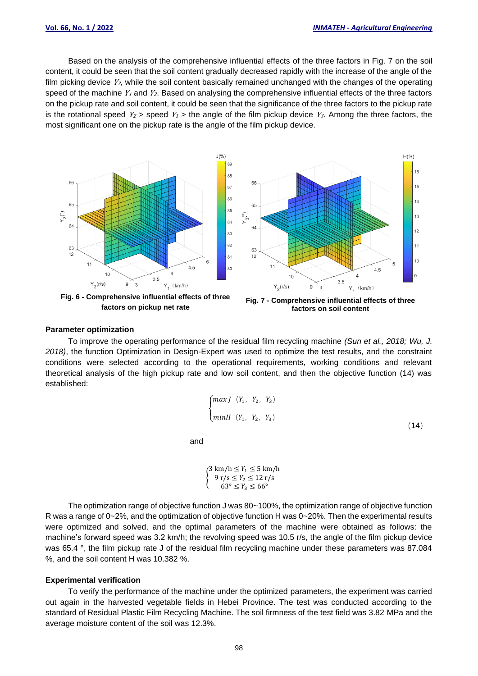$H(%)$ 

Based on the analysis of the comprehensive influential effects of the three factors in Fig. 7 on the soil content, it could be seen that the soil content gradually decreased rapidly with the increase of the angle of the film picking device  $Y_{3}$ , while the soil content basically remained unchanged with the changes of the operating speed of the machine  $Y_1$  and  $Y_2$ . Based on analysing the comprehensive influential effects of the three factors on the pickup rate and soil content, it could be seen that the significance of the three factors to the pickup rate is the rotational speed  $Y_2$  > speed  $Y_1$  > the angle of the film pickup device  $Y_3$ . Among the three factors, the most significant one on the pickup rate is the angle of the film pickup device.



**Fig. 6 - Comprehensive influential effects of three factors on pickup net rate**



**Fig. 7 - Comprehensive influential effects of three factors on soil content**

## **Parameter optimization**

To improve the operating performance of the residual film recycling machine *(Sun et al., 2018; Wu, J. 2018)*, the function Optimization in Design-Expert was used to optimize the test results, and the constraint conditions were selected according to the operational requirements, working conditions and relevant theoretical analysis of the high pickup rate and low soil content, and then the objective function (14) was established:

$$
\begin{cases}\nmax J & (Y_1, Y_2, Y_3) \\
min H & (Y_1, Y_2, Y_3)\n\end{cases}
$$
\n(14)

and

$$
\begin{cases} 3 \text{ km/h} \le Y_1 \le 5 \text{ km/h} \\ 9 \text{ r/s} \le Y_2 \le 12 \text{ r/s} \\ 63^\circ \le Y_3 \le 66^\circ \end{cases}
$$

The optimization range of objective function J was 80~100%, the optimization range of objective function R was a range of 0~2%, and the optimization of objective function H was 0~20%. Then the experimental results were optimized and solved, and the optimal parameters of the machine were obtained as follows: the machine's forward speed was 3.2 km/h; the revolving speed was 10.5 r/s, the angle of the film pickup device was 65.4 °, the film pickup rate J of the residual film recycling machine under these parameters was 87.084 %, and the soil content H was 10.382 %.

#### **Experimental verification**

To verify the performance of the machine under the optimized parameters, the experiment was carried out again in the harvested vegetable fields in Hebei Province. The test was conducted according to the standard of Residual Plastic Film Recycling Machine. The soil firmness of the test field was 3.82 MPa and the average moisture content of the soil was 12.3%.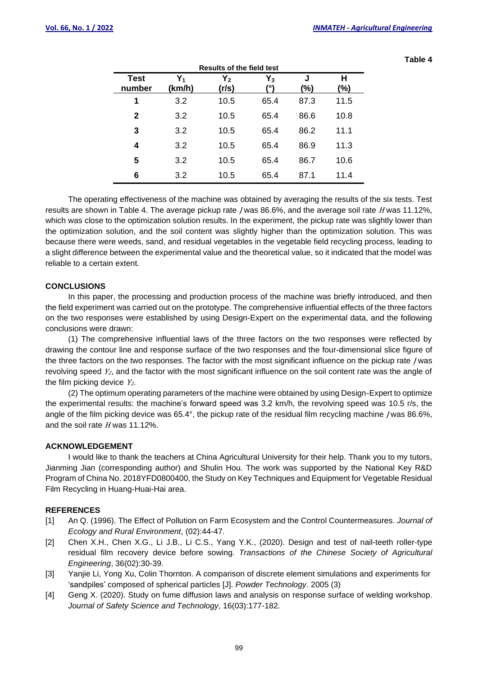| <b>Results of the field test</b> |                 |                |             |          |          |  |  |
|----------------------------------|-----------------|----------------|-------------|----------|----------|--|--|
| <b>Test</b><br>number            | $Y_1$<br>(km/h) | $Y_2$<br>(r/s) | $Y_3$<br>٥١ | J<br>(%) | Н<br>(%) |  |  |
| 1                                | 3.2             | 10.5           | 65.4        | 87.3     | 11.5     |  |  |
| $\mathbf{2}$                     | 3.2             | 10.5           | 65.4        | 86.6     | 10.8     |  |  |
| 3                                | 3.2             | 10.5           | 65.4        | 86.2     | 11.1     |  |  |
| 4                                | 3.2             | 10.5           | 65.4        | 86.9     | 11.3     |  |  |
| 5                                | 3.2             | 10.5           | 65.4        | 86.7     | 10.6     |  |  |
| 6                                | 3.2             | 10.5           | 65.4        | 87.1     | 11.4     |  |  |

**Table 4**

The operating effectiveness of the machine was obtained by averaging the results of the six tests. Test results are shown in Table 4. The average pickup rate /was 86.6%, and the average soil rate H was 11.12%, which was close to the optimization solution results. In the experiment, the pickup rate was slightly lower than the optimization solution, and the soil content was slightly higher than the optimization solution. This was because there were weeds, sand, and residual vegetables in the vegetable field recycling process, leading to a slight difference between the experimental value and the theoretical value, so it indicated that the model was reliable to a certain extent.

## **CONCLUSIONS**

In this paper, the processing and production process of the machine was briefly introduced, and then the field experiment was carried out on the prototype. The comprehensive influential effects of the three factors on the two responses were established by using Design-Expert on the experimental data, and the following conclusions were drawn:

(1) The comprehensive influential laws of the three factors on the two responses were reflected by drawing the contour line and response surface of the two responses and the four-dimensional slice figure of the three factors on the two responses. The factor with the most significant influence on the pickup rate *J* was revolving speed  $Y_2$ , and the factor with the most significant influence on the soil content rate was the angle of the film picking device  $Y_2$ .

(2) The optimum operating parameters of the machine were obtained by using Design-Expert to optimize the experimental results: the machine's forward speed was 3.2 km/h, the revolving speed was 10.5 r/s, the angle of the film picking device was  $65.4^{\circ}$ , the pickup rate of the residual film recycling machine J was  $86.6\%$ , and the soil rate <sup>H</sup> was 11.12%.

#### **ACKNOWLEDGEMENT**

I would like to thank the teachers at China Agricultural University for their help. Thank you to my tutors, Jianming Jian (corresponding author) and Shulin Hou. The work was supported by the National Key R&D Program of China No. 2018YFD0800400, the Study on Key Techniques and Equipment for Vegetable Residual Film Recycling in Huang-Huai-Hai area.

#### **REFERENCES**

- [1] An Q. (1996). The Effect of Pollution on Farm Ecosystem and the Control Countermeasures. *Journal of Ecology and Rural Environment*, (02):44-47.
- [2] Chen X.H., Chen X.G., Li J.B., Li C.S., Yang Y.K., (2020). Design and test of nail-teeth roller-type residual film recovery device before sowing. *Transactions of the Chinese Society of Agricultural Engineering*, 36(02):30-39.
- [3] Yanjie Li, Yong Xu, Colin Thornton. A comparison of discrete element simulations and experiments for 'sandpiles' composed of spherical particles [J]. *Powder Technology*. 2005 (3)
- [4] Geng X. (2020). Study on fume diffusion laws and analysis on response surface of welding workshop. *Journal of Safety Science and Technology*, 16(03):177-182.